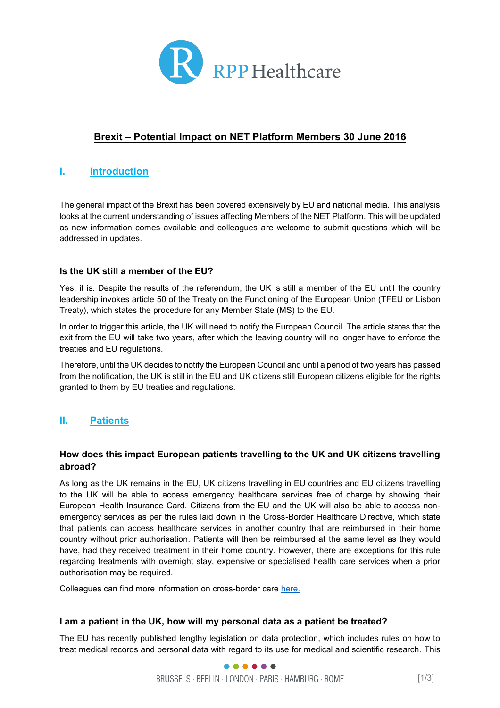

# **Brexit – Potential Impact on NET Platform Members 30 June 2016**

## **I. Introduction**

The general impact of the Brexit has been covered extensively by EU and national media. This analysis looks at the current understanding of issues affecting Members of the NET Platform. This will be updated as new information comes available and colleagues are welcome to submit questions which will be addressed in updates.

### **Is the UK still a member of the EU?**

Yes, it is. Despite the results of the referendum, the UK is still a member of the EU until the country leadership invokes article 50 of the Treaty on the Functioning of the European Union (TFEU or Lisbon Treaty), which states the procedure for any Member State (MS) to the EU.

In order to trigger this article, the UK will need to notify the European Council. The article states that the exit from the EU will take two years, after which the leaving country will no longer have to enforce the treaties and EU regulations.

Therefore, until the UK decides to notify the European Council and until a period of two years has passed from the notification, the UK is still in the EU and UK citizens still European citizens eligible for the rights granted to them by EU treaties and regulations.

# **II. Patients**

### **How does this impact European patients travelling to the UK and UK citizens travelling abroad?**

As long as the UK remains in the EU, UK citizens travelling in EU countries and EU citizens travelling to the UK will be able to access emergency healthcare services free of charge by showing their European Health Insurance Card. Citizens from the EU and the UK will also be able to access nonemergency services as per the rules laid down in the Cross-Border Healthcare Directive, which state that patients can access healthcare services in another country that are reimbursed in their home country without prior authorisation. Patients will then be reimbursed at the same level as they would have, had they received treatment in their home country. However, there are exceptions for this rule regarding treatments with overnight stay, expensive or specialised health care services when a prior authorisation may be required.

Colleagues can find more information on cross-border care [here.](http://ec.europa.eu/health/cross_border_care/docs/cbhc_leafletet_en.pdf)

### **I am a patient in the UK, how will my personal data as a patient be treated?**

The EU has recently published lengthy legislation on data protection, which includes rules on how to treat medical records and personal data with regard to its use for medical and scientific research. This

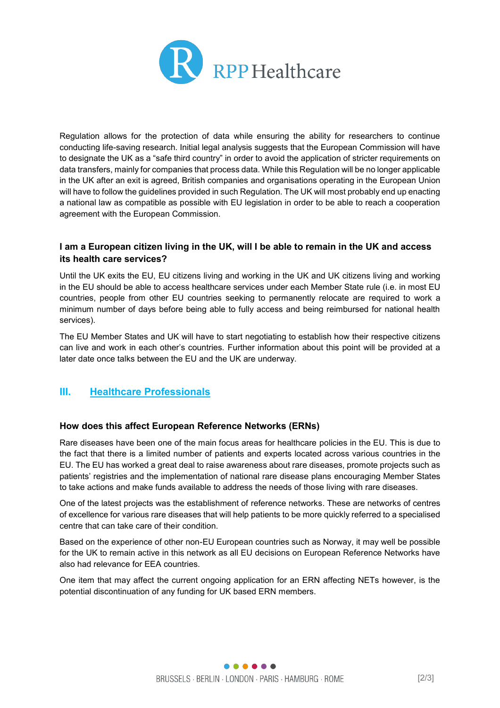

Regulation allows for the protection of data while ensuring the ability for researchers to continue conducting life-saving research. Initial legal analysis suggests that the European Commission will have to designate the UK as a "safe third country" in order to avoid the application of stricter requirements on data transfers, mainly for companies that process data. While this Regulation will be no longer applicable in the UK after an exit is agreed, British companies and organisations operating in the European Union will have to follow the guidelines provided in such Regulation. The UK will most probably end up enacting a national law as compatible as possible with EU legislation in order to be able to reach a cooperation agreement with the European Commission.

## **I am a European citizen living in the UK, will I be able to remain in the UK and access its health care services?**

Until the UK exits the EU, EU citizens living and working in the UK and UK citizens living and working in the EU should be able to access healthcare services under each Member State rule (i.e. in most EU countries, people from other EU countries seeking to permanently relocate are required to work a minimum number of days before being able to fully access and being reimbursed for national health services).

The EU Member States and UK will have to start negotiating to establish how their respective citizens can live and work in each other's countries. Further information about this point will be provided at a later date once talks between the EU and the UK are underway.

## **III. Healthcare Professionals**

### **How does this affect European Reference Networks (ERNs)**

Rare diseases have been one of the main focus areas for healthcare policies in the EU. This is due to the fact that there is a limited number of patients and experts located across various countries in the EU. The EU has worked a great deal to raise awareness about rare diseases, promote projects such as patients' registries and the implementation of national rare disease plans encouraging Member States to take actions and make funds available to address the needs of those living with rare diseases.

One of the latest projects was the establishment of reference networks. These are networks of centres of excellence for various rare diseases that will help patients to be more quickly referred to a specialised centre that can take care of their condition.

Based on the experience of other non-EU European countries such as Norway, it may well be possible for the UK to remain active in this network as all EU decisions on European Reference Networks have also had relevance for EEA countries.

One item that may affect the current ongoing application for an ERN affecting NETs however, is the potential discontinuation of any funding for UK based ERN members.